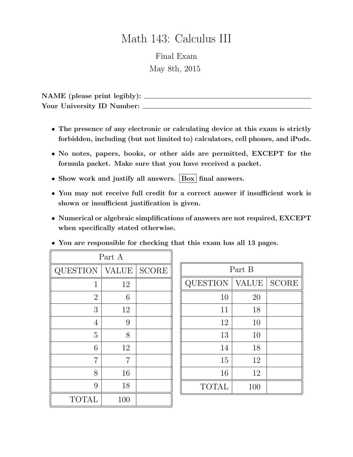## Math 143: Calculus III

Final Exam May 8th, 2015

NAME (please print legibly): Your University ID Number:

- The presence of any electronic or calculating device at this exam is strictly forbidden, including (but not limited to) calculators, cell phones, and iPods.
- No notes, papers, books, or other aids are permitted, EXCEPT for the formula packet. Make sure that you have received a packet.
- Show work and justify all answers. Box final answers.
- You may not receive full credit for a correct answer if insufficient work is shown or insufficient justification is given.
- Numerical or algebraic simplifications of answers are not required, EXCEPT when specifically stated otherwise.

| Part A          |              |              |
|-----------------|--------------|--------------|
| <b>QUESTION</b> | <b>VALUE</b> | <b>SCORE</b> |
| 1               | 12           |              |
| $\overline{2}$  | 6            |              |
| 3               | 12           |              |
| 4               | 9            |              |
| $\overline{5}$  | 8            |              |
| 6               | 12           |              |
| 7               | 7            |              |
| 8               | 16           |              |
| 9               | 18           |              |
| <b>TOTAL</b>    | 100          |              |

| Part B   |       |              |
|----------|-------|--------------|
| QUESTION | VALUE | <b>SCORE</b> |
| 10       | 20    |              |
| 11       | 18    |              |
| 12       | 10    |              |
| 13       | 10    |              |
| 14       | 18    |              |
| 15       | 12    |              |
| 16       | 12    |              |
| TOTAL    | 100   |              |

## • You are responsible for checking that this exam has all 13 pages.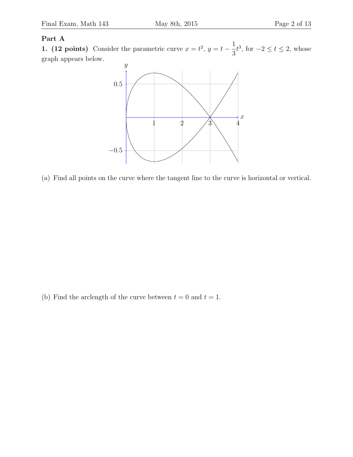## Part A

1. (12 points) Consider the parametric curve  $x = t^2$ ,  $y = t - \frac{1}{2}$ 3  $t^3$ , for  $-2 \le t \le 2$ , whose graph appears below.



(a) Find all points on the curve where the tangent line to the curve is horizontal or vertical.

(b) Find the arclength of the curve between  $t = 0$  and  $t = 1$ .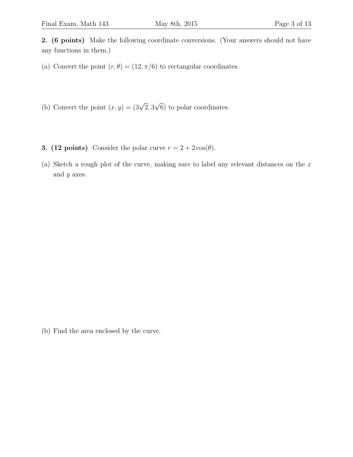2. (6 points) Make the following coordinate conversions. (Your answers should not have any functions in them.)

- (a) Convert the point  $(r, \theta) = (12, \pi/6)$  to rectangular coordinates.
- (b) Convert the point  $(x, y) = (3\sqrt{2}, 3)$ √ 6) to polar coordinates.
- 3. (12 points) Consider the polar curve  $r = 2 + 2\cos(\theta)$ .
- (a) Sketch a rough plot of the curve, making sure to label any relevant distances on the  $x$ and y axes.

(b) Find the area enclosed by the curve.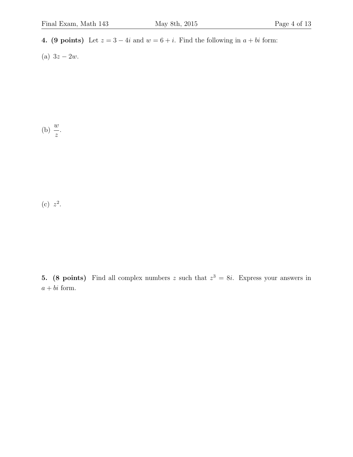- 4. (9 points) Let  $z = 3 4i$  and  $w = 6 + i$ . Find the following in  $a + bi$  form:
- (a)  $3z 2w$ .

(b)  $\frac{w}{2}$ z .

 $(c)$   $z^2$ .

5. (8 points) Find all complex numbers z such that  $z^3 = 8i$ . Express your answers in  $a + bi$  form.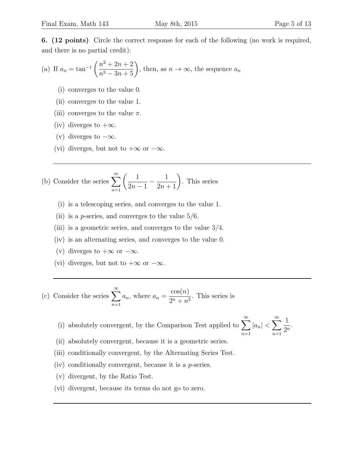6. (12 points) Circle the correct response for each of the following (no work is required, and there is no partial credit):

(a) If 
$$
a_n = \tan^{-1}\left(\frac{n^2 + 2n + 2}{n^3 - 3n + 5}\right)
$$
, then, as  $n \to \infty$ , the sequence  $a_n$ 

- (i) converges to the value 0.
- (ii) converges to the value 1.
- (iii) converges to the value  $\pi$ .
- (iv) diverges to  $+\infty$ .
- (v) diverges to  $-\infty$ .
- (vi) diverges, but not to  $+\infty$  or  $-\infty$ .

(b) Consider the series 
$$
\sum_{n=1}^{\infty} \left( \frac{1}{2n-1} - \frac{1}{2n+1} \right)
$$
. This series

- (i) is a telescoping series, and converges to the value 1.
- (ii) is a *p*-series, and converges to the value  $5/6$ .
- (iii) is a geometric series, and converges to the value 3/4.
- (iv) is an alternating series, and converges to the value 0.
- (v) diverges to  $+\infty$  or  $-\infty$ .
- (vi) diverges, but not to  $+\infty$  or  $-\infty$ .

(c) Consider the series  $\sum_{n=1}^{\infty}$  $n=1$  $a_n$ , where  $a_n =$  $\cos(n)$  $\frac{\cos(\theta)}{2^n + n^2}$ . This series is

(i) absolutely convergent, by the Comparison Test applied to  $\sum_{n=1}^{\infty}$  $|a_n| < \sum_{n=1}^{\infty}$ 

 $n=1$ 

 $n=1$ 

1  $\frac{1}{2^n}$ .

- (ii) absolutely convergent, because it is a geometric series.
- (iii) conditionally convergent, by the Alternating Series Test.
- (iv) conditionally convergent, because it is a  $p$ -series.
- (v) divergent, by the Ratio Test.
- (vi) divergent, because its terms do not go to zero.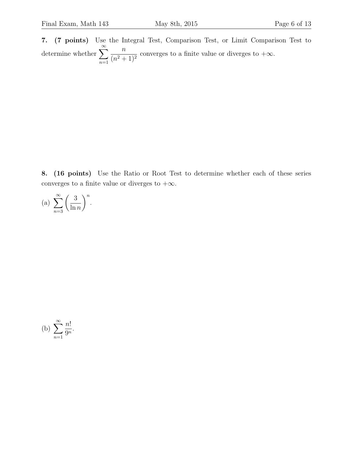7. (7 points) Use the Integral Test, Comparison Test, or Limit Comparison Test to determine whether  $\sum_{n=0}^{\infty}$  $n=1$  $\overline{n}$  $(n^2+1)^2$ converges to a finite value or diverges to  $+\infty$ .

8. (16 points) Use the Ratio or Root Test to determine whether each of these series converges to a finite value or diverges to  $+\infty$ .

(a) 
$$
\sum_{n=3}^{\infty} \left(\frac{3}{\ln n}\right)^n.
$$

(b) 
$$
\sum_{n=1}^{\infty} \frac{n!}{9^n}.
$$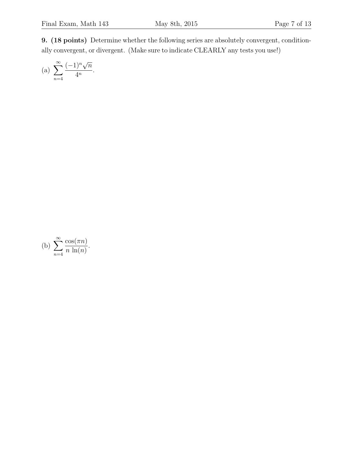9. (18 points) Determine whether the following series are absolutely convergent, conditionally convergent, or divergent. (Make sure to indicate CLEARLY any tests you use!)

(a) 
$$
\sum_{n=4}^{\infty} \frac{(-1)^n \sqrt{n}}{4^n}.
$$

(b) 
$$
\sum_{n=4}^{\infty} \frac{\cos(\pi n)}{n \ln(n)}.
$$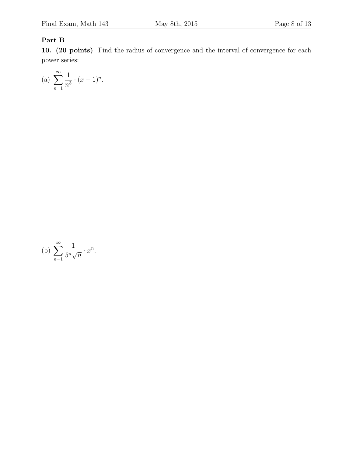## Part B

10. (20 points) Find the radius of convergence and the interval of convergence for each power series:

(a) 
$$
\sum_{n=1}^{\infty} \frac{1}{n^3} \cdot (x-1)^n.
$$

(b) 
$$
\sum_{n=1}^{\infty} \frac{1}{5^n \sqrt{n}} \cdot x^n.
$$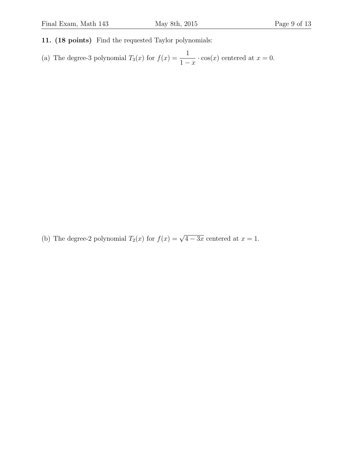- 11. (18 points) Find the requested Taylor polynomials:
- (a) The degree-3 polynomial  $T_3(x)$  for  $f(x) = \frac{1}{1-x}$  $\cdot$  cos(x) centered at  $x = 0$ .

(b) The degree-2 polynomial  $T_2(x)$  for  $f(x) = \sqrt{4 - 3x}$  centered at  $x = 1$ .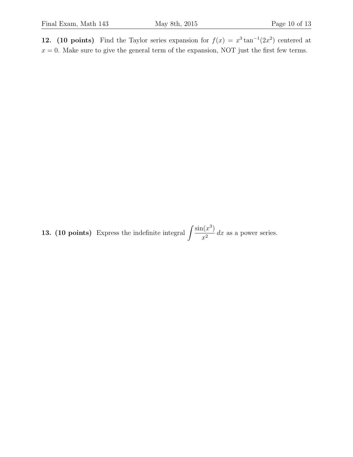12. (10 points) Find the Taylor series expansion for  $f(x) = x^3 \tan^{-1}(2x^2)$  centered at  $x = 0$ . Make sure to give the general term of the expansion, NOT just the first few terms.

**13.** (10 points) Express the indefinite integral  $\int \frac{\sin(x^3)}{2} dx$  $\frac{f(x)}{x^2}$  dx as a power series.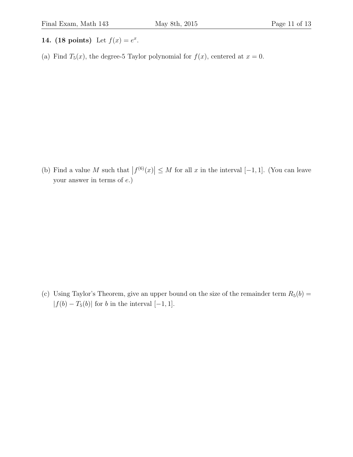- 14. (18 points) Let  $f(x) = e^x$ .
- (a) Find  $T_5(x)$ , the degree-5 Taylor polynomial for  $f(x)$ , centered at  $x = 0$ .

(b) Find a value M such that  $|f^{(6)}(x)| \leq M$  for all x in the interval  $[-1, 1]$ . (You can leave your answer in terms of e.)

(c) Using Taylor's Theorem, give an upper bound on the size of the remainder term  $R_5(b)$  =  $|f(b) - T_5(b)|$  for b in the interval  $[-1, 1]$ .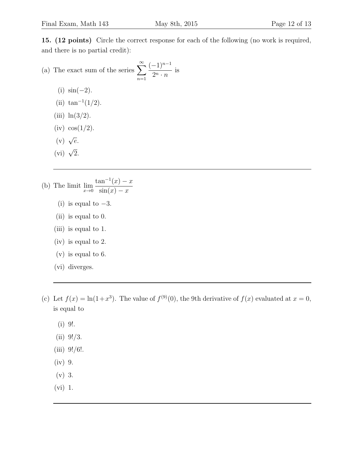15. (12 points) Circle the correct response for each of the following (no work is required, and there is no partial credit):

(a) The exact sum of the series 
$$
\sum_{n=1}^{\infty} \frac{(-1)^{n-1}}{2^n \cdot n}
$$
 is

- (i)  $\sin(-2)$ .
- (ii)  $\tan^{-1}(1/2)$ .
- (iii)  $\ln(3/2)$ .
- $(iv)$   $cos(1/2)$ .
- (v)  $\sqrt{e}$ .
- (vi)  $\sqrt{2}$ .
- (b) The limit  $\lim_{x\to 0}$  $\tan^{-1}(x) - x$  $\sin(x) - x$ 
	- (i) is equal to  $-3$ .
	- (ii) is equal to 0.
	- (iii) is equal to 1.
	- (iv) is equal to 2.
	- (v) is equal to 6.
	- (vi) diverges.
- (c) Let  $f(x) = \ln(1+x^3)$ . The value of  $f^{(9)}(0)$ , the 9th derivative of  $f(x)$  evaluated at  $x = 0$ , is equal to
	- (i) 9!.
	- $(ii)$  9!/3.
	- (iii) 9!/6!.
	- (iv) 9.
	- (v) 3.
	- (vi) 1.